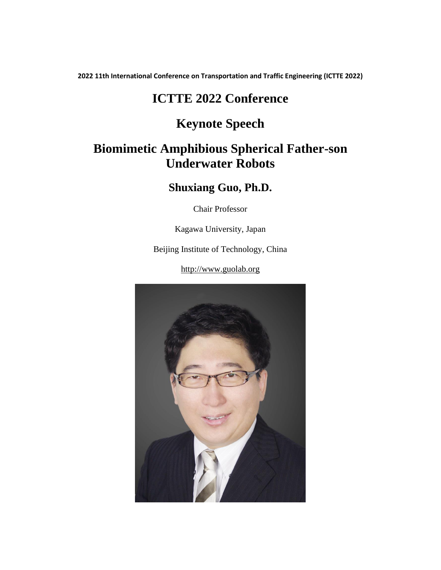**2022 11th International Conference on Transportation and Traffic Engineering (ICTTE 2022)**

# **ICTTE 2022 Conference**

## **Keynote Speech**

# **Biomimetic Amphibious Spherical Father-son Underwater Robots**

### **Shuxiang Guo, Ph.D.**

Chair Professor

Kagawa University, Japan

Beijing Institute of Technology, China

[http://www.guolab.org](http://www.guolab.org/)